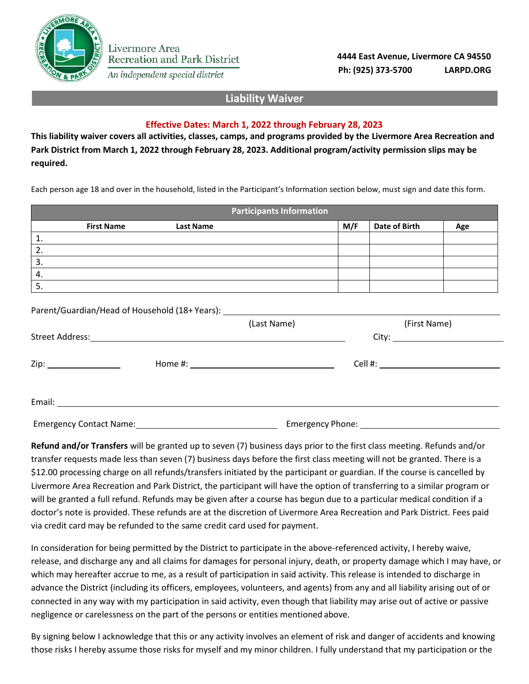

An independent special district

**4444 East Avenue, Livermore CA 94550 Ph: (925) 373-5700 LARPD.ORG**

## **Liability Waiver**

## **Effective Dates: March 1, 2022 through February 28, 2023**

**This liability waiver covers all activities, classes, camps, and programs provided by the Livermore Area Recreation and Park District from March 1, 2022 through February 28, 2023. Additional program/activity permission slips may be required.**

Each person age 18 and over in the household, listed in the Participant's Information section below, must sign and date this form.

|    |                   |                  | <b>Participants Information</b> |     |               |     |
|----|-------------------|------------------|---------------------------------|-----|---------------|-----|
|    | <b>First Name</b> | <b>Last Name</b> |                                 | M/F | Date of Birth | Age |
| ᆠ. |                   |                  |                                 |     |               |     |
| z. |                   |                  |                                 |     |               |     |
| 3. |                   |                  |                                 |     |               |     |
| 4. |                   |                  |                                 |     |               |     |
| C. |                   |                  |                                 |     |               |     |

Parent/Guardian/Head of Household (18+ Years):

|                                                                                                                |  | (Last Name) | (First Name) |
|----------------------------------------------------------------------------------------------------------------|--|-------------|--------------|
|                                                                                                                |  |             |              |
|                                                                                                                |  |             |              |
|                                                                                                                |  |             |              |
|                                                                                                                |  |             |              |
|                                                                                                                |  |             |              |
| Emergency Contact Name: Manual Manual Manual Manual Manual Manual Manual Manual Manual Manual Manual Manual Ma |  |             |              |

**Refund and/or Transfers** will be granted up to seven (7) business days prior to the first class meeting. Refunds and/or transfer requests made less than seven (7) business days before the first class meeting will not be granted. There is a \$12.00 processing charge on all refunds/transfers initiated by the participant or guardian. If the course is cancelled by Livermore Area Recreation and Park District, the participant will have the option of transferring to a similar program or will be granted a full refund. Refunds may be given after a course has begun due to a particular medical condition if a doctor's note is provided. These refunds are at the discretion of Livermore Area Recreation and Park District. Fees paid via credit card may be refunded to the same credit card used for payment.

In consideration for being permitted by the District to participate in the above-referenced activity, I hereby waive, release, and discharge any and all claims for damages for personal injury, death, or property damage which I may have, or which may hereafter accrue to me, as a result of participation in said activity. This release is intended to discharge in advance the District (including its officers, employees, volunteers, and agents) from any and all liability arising out of or connected in any way with my participation in said activity, even though that liability may arise out of active or passive negligence or carelessness on the part of the persons or entities mentioned above.

By signing below I acknowledge that this or any activity involves an element of risk and danger of accidents and knowing those risks I hereby assume those risks for myself and my minor children. I fully understand that my participation or the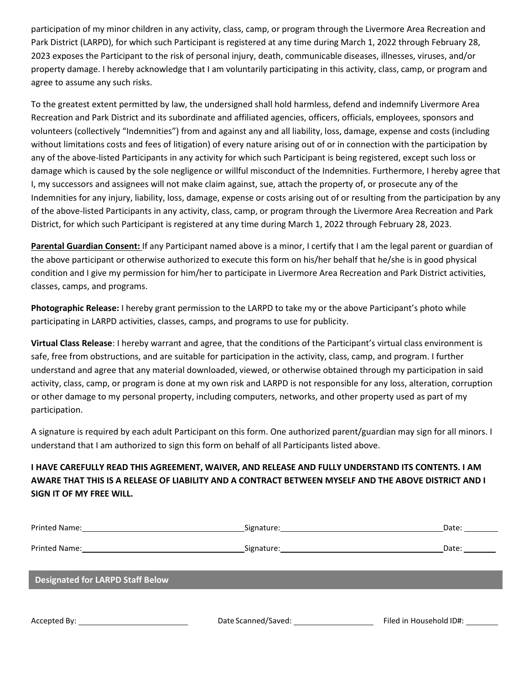participation of my minor children in any activity, class, camp, or program through the Livermore Area Recreation and Park District (LARPD), for which such Participant is registered at any time during March 1, 2022 through February 28, 2023 exposes the Participant to the risk of personal injury, death, communicable diseases, illnesses, viruses, and/or property damage. I hereby acknowledge that I am voluntarily participating in this activity, class, camp, or program and agree to assume any such risks.

To the greatest extent permitted by law, the undersigned shall hold harmless, defend and indemnify Livermore Area Recreation and Park District and its subordinate and affiliated agencies, officers, officials, employees, sponsors and volunteers (collectively "Indemnities") from and against any and all liability, loss, damage, expense and costs (including without limitations costs and fees of litigation) of every nature arising out of or in connection with the participation by any of the above-listed Participants in any activity for which such Participant is being registered, except such loss or damage which is caused by the sole negligence or willful misconduct of the Indemnities. Furthermore, I hereby agree that I, my successors and assignees will not make claim against, sue, attach the property of, or prosecute any of the Indemnities for any injury, liability, loss, damage, expense or costs arising out of or resulting from the participation by any of the above-listed Participants in any activity, class, camp, or program through the Livermore Area Recreation and Park District, for which such Participant is registered at any time during March 1, 2022 through February 28, 2023.

**Parental Guardian Consent:** If any Participant named above is a minor, I certify that I am the legal parent or guardian of the above participant or otherwise authorized to execute this form on his/her behalf that he/she is in good physical condition and I give my permission for him/her to participate in Livermore Area Recreation and Park District activities, classes, camps, and programs.

**Photographic Release:** I hereby grant permission to the LARPD to take my or the above Participant's photo while participating in LARPD activities, classes, camps, and programs to use for publicity.

**Virtual Class Release**: I hereby warrant and agree, that the conditions of the Participant's virtual class environment is safe, free from obstructions, and are suitable for participation in the activity, class, camp, and program. I further understand and agree that any material downloaded, viewed, or otherwise obtained through my participation in said activity, class, camp, or program is done at my own risk and LARPD is not responsible for any loss, alteration, corruption or other damage to my personal property, including computers, networks, and other property used as part of my participation.

A signature is required by each adult Participant on this form. One authorized parent/guardian may sign for all minors. I understand that I am authorized to sign this form on behalf of all Participants listed above.

## **I HAVE CAREFULLY READ THIS AGREEMENT, WAIVER, AND RELEASE AND FULLY UNDERSTAND ITS CONTENTS. I AM AWARE THAT THIS IS A RELEASE OF LIABILITY AND A CONTRACT BETWEEN MYSELF AND THE ABOVE DISTRICT AND I SIGN IT OF MY FREE WILL.**

|                                         |                                               | Date:                   |
|-----------------------------------------|-----------------------------------------------|-------------------------|
|                                         |                                               | Date: $\_\_$            |
| <b>Designated for LARPD Staff Below</b> |                                               |                         |
|                                         |                                               |                         |
|                                         | Date Scanned/Saved: The Scanned Saved Scanner | Filed in Household ID#: |